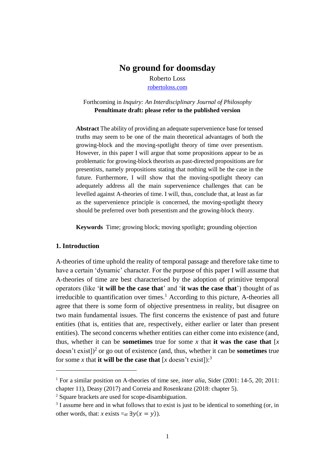# **No ground for doomsday**

Roberto Loss [robertoloss.com](mailto:robertoloss@gmail.com)

Forthcoming in *Inquiry: An Interdisciplinary Journal of Philosophy* **Penultimate draft: please refer to the published version**

**Abstract** The ability of providing an adequate supervenience base for tensed truths may seem to be one of the main theoretical advantages of both the growing-block and the moving-spotlight theory of time over presentism. However, in this paper I will argue that some propositions appear to be as problematic for growing-block theorists as past-directed propositions are for presentists, namely propositions stating that nothing will be the case in the future. Furthermore, I will show that the moving-spotlight theory can adequately address all the main supervenience challenges that can be levelled against A-theories of time. I will, thus, conclude that, at least as far as the supervenience principle is concerned, the moving-spotlight theory should be preferred over both presentism and the growing-block theory.

**Keywords** Time; growing block; moving spotlight; grounding objection

## **1. Introduction**

 $\overline{\phantom{a}}$ 

A-theories of time uphold the reality of temporal passage and therefore take time to have a certain 'dynamic' character. For the purpose of this paper I will assume that A-theories of time are best characterised by the adoption of primitive temporal operators (like '**it will be the case that**' and '**it was the case that**') thought of as irreducible to quantification over times.<sup>1</sup> According to this picture, A-theories all agree that there is some form of objective presentness in reality, but disagree on two main fundamental issues. The first concerns the existence of past and future entities (that is, entities that are, respectively, either earlier or later than present entities). The second concerns whether entities can either come into existence (and, thus, whether it can be **sometimes** true for some x that **it was the case that** [x doesn't exist])<sup>2</sup> or go out of existence (and, thus, whether it can be **sometimes** true for some *x* that **it will be the case that**  $[x \text{ doesn't exist}$ :<sup>3</sup>

<sup>&</sup>lt;sup>1</sup> For a similar position on A-theories of time see, *inter alia*, Sider (2001: 14-5, 20; 2011: chapter 11), Deasy (2017) and Correia and Rosenkranz (2018: chapter 5).

<sup>2</sup> Square brackets are used for scope-disambiguation.

 $3$  I assume here and in what follows that to exist is just to be identical to something (or, in other words, that: *x* exists = $_{df} \exists y(x = y)$ ).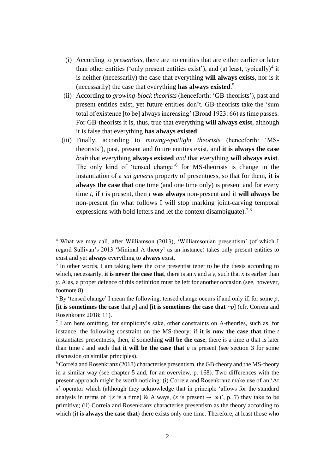- (i) According to *presentists*, there are no entities that are either earlier or later than other entities ('only present entities exist'), and (at least, typically)<sup>4</sup> it is neither (necessarily) the case that everything **will always exists**, nor is it (necessarily) the case that everything **has always existed**. 5
- (ii) According to *growing-block theorists* (henceforth: 'GB-theorists'), past and present entities exist, yet future entities don't. GB-theorists take the 'sum total of existence [to be] always increasing' (Broad 1923: 66) as time passes. For GB-theorists it is, thus, true that everything **will always exist**, although it is false that everything **has always existed**.
- (iii) Finally, according to *moving-spotlight theorists* (henceforth: 'MStheorists'), past, present and future entities exist, and **it is always the case** *both* that everything **always existed** *and* that everything **will always exist**. The only kind of 'tensed change'<sup>6</sup> for MS-theorists is change in the instantiation of a *sui generis* property of presentness, so that for them, **it is always the case that** one time (and one time only) is present and for every time *t*, if *t* is present, then *t* **was always** non-present and it **will always be** non-present (in what follows I will stop marking joint-carving temporal expressions with bold letters and let the context disambiguate).<sup>7,8</sup>

<sup>4</sup> What we may call, after Williamson (2013), 'Williamsonian presentism' (of which I regard Sullivan's 2013 'Minimal A-theory' as an instance) takes only present entities to exist and yet **always** everything to **always** exist.

<sup>&</sup>lt;sup>5</sup> In other words, I am taking here the core presentist tenet to be the thesis according to which, necessarily, **it is never the case that**, there is an  $x$  and a  $y$ , such that  $x$  is earlier than *y*. Alas, a proper defence of this definition must be left for another occasion (see, however, footnote 8).

 $6$  By 'tensed change' I mean the following: tensed change occurs if and only if, for some  $p$ , [**it is sometimes the case** that *p*] and [**it is sometimes the case that** *~p*] (cfr. Correia and Rosenkranz 2018: 11).

<sup>&</sup>lt;sup>7</sup> I am here omitting, for simplicity's sake, other constraints on A-theories, such as, for instance, the following constraint on the MS-theory: if **it is now the case that** time *t* instantiates presentness, then, if something **will be the case**, there is a time  $u$  that is later than time  $t$  and such that **it will be the case that**  $u$  is present (see section 3 for some discussion on similar principles).

<sup>8</sup> Correia and Rosenkranz (2018) characterise presentism, the GB-theory and the MS-theory in a similar way (see chapter 5 and, for an overview, p. 168). Two differences with the present approach might be worth noticing: (i) Correia and Rosenkranz make use of an 'At *x*' operator which (although they acknowledge that in principle 'allows for the standard analysis in terms of '[x is a time] & Always, (x is present  $\rightarrow \varphi$ )', p. 7) they take to be primitive; (ii) Correia and Rosenkranz characterise presentism as the theory according to which (**it is always the case that**) there exists only one time. Therefore, at least those who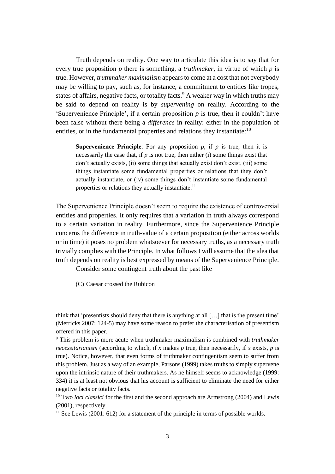Truth depends on reality. One way to articulate this idea is to say that for every true proposition *p* there is something, a *truthmaker*, in virtue of which *p* is true. However, *truthmaker maximalism* appears to come at a cost that not everybody may be willing to pay, such as, for instance, a commitment to entities like tropes, states of affairs, negative facts, or totality facts.<sup>9</sup> A weaker way in which truths may be said to depend on reality is by *supervening* on reality. According to the 'Supervenience Principle', if a certain proposition *p* is true, then it couldn't have been false without there being a *difference* in reality: either in the population of entities, or in the fundamental properties and relations they instantiate:  $10$ 

**Supervenience Principle**: For any proposition  $p$ , if  $p$  is true, then it is necessarily the case that, if *p* is not true, then either (i) some things exist that don't actually exists, (ii) some things that actually exist don't exist, (iii) some things instantiate some fundamental properties or relations that they don't actually instantiate, or (iv) some things don't instantiate some fundamental properties or relations they actually instantiate.<sup>11</sup>

The Supervenience Principle doesn't seem to require the existence of controversial entities and properties. It only requires that a variation in truth always correspond to a certain variation in reality. Furthermore, since the Supervenience Principle concerns the difference in truth-value of a certain proposition (either across worlds or in time) it poses no problem whatsoever for necessary truths, as a necessary truth trivially complies with the Principle. In what follows I will assume that the idea that truth depends on reality is best expressed by means of the Supervenience Principle.

Consider some contingent truth about the past like

(C) Caesar crossed the Rubicon

think that 'presentists should deny that there is anything at all […] that is the present time' (Merricks 2007: 124-5) may have some reason to prefer the characterisation of presentism offered in this paper.

<sup>9</sup> This problem is more acute when truthmaker maximalism is combined with *truthmaker necessitarianism* (according to which, if *x* makes *p* true, then necessarily, if *x* exists, *p* is true). Notice, however, that even forms of truthmaker contingentism seem to suffer from this problem. Just as a way of an example, Parsons (1999) takes truths to simply supervene upon the intrinsic nature of their truthmakers. As he himself seems to acknowledge (1999: 334) it is at least not obvious that his account is sufficient to eliminate the need for either negative facts or totality facts.

<sup>&</sup>lt;sup>10</sup> Two *loci classici* for the first and the second approach are Armstrong (2004) and Lewis (2001), respectively.

 $11$  See Lewis (2001: 612) for a statement of the principle in terms of possible worlds.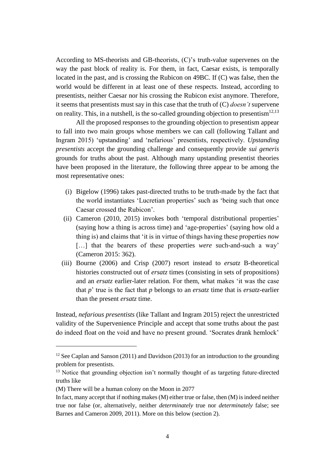According to MS-theorists and GB-theorists, (C)'s truth-value supervenes on the way the past block of reality is. For them, in fact, Caesar exists, is temporally located in the past, and is crossing the Rubicon on 49BC. If (C) was false, then the world would be different in at least one of these respects. Instead, according to presentists, neither Caesar nor his crossing the Rubicon exist anymore. Therefore, it seems that presentists must say in this case that the truth of (C) *doesn't* supervene on reality. This, in a nutshell, is the so-called grounding objection to presentism $12,13$ 

All the proposed responses to the grounding objection to presentism appear to fall into two main groups whose members we can call (following Tallant and Ingram 2015) 'upstanding' and 'nefarious' presentists, respectively. *Upstanding presentists* accept the grounding challenge and consequently provide *sui generis* grounds for truths about the past. Although many upstanding presentist theories have been proposed in the literature, the following three appear to be among the most representative ones:

- (i) Bigelow (1996) takes past-directed truths to be truth-made by the fact that the world instantiates 'Lucretian properties' such as 'being such that once Caesar crossed the Rubicon'.
- (ii) Cameron (2010, 2015) invokes both 'temporal distributional properties' (saying how a thing is across time) and 'age-properties' (saying how old a thing is) and claims that 'it is in virtue of things having these properties *now* [...] that the bearers of these properties *were* such-and-such a way' (Cameron 2015: 362).
- (iii) Bourne (2006) and Crisp (2007) resort instead to *ersatz* B-theoretical histories constructed out of *ersatz* times (consisting in sets of propositions) and an *ersatz* earlier-later relation. For them, what makes 'it was the case that *p*' true is the fact that *p* belongs to an *ersatz* time that is *ersatz*-earlier than the present *ersatz* time.

Instead, *nefarious presentists* (like Tallant and Ingram 2015) reject the unrestricted validity of the Supervenience Principle and accept that some truths about the past do indeed float on the void and have no present ground. 'Socrates drank hemlock'

 $12$  See Caplan and Sanson (2011) and Davidson (2013) for an introduction to the grounding problem for presentists.

<sup>&</sup>lt;sup>13</sup> Notice that grounding objection isn't normally thought of as targeting future-directed truths like

<sup>(</sup>M) There will be a human colony on the Moon in 2077

In fact, many accept that if nothing makes (M) either true or false, then (M) is indeed neither true nor false (or, alternatively, neither *determinately* true nor *determinately* false; see Barnes and Cameron 2009, 2011). More on this below (section 2).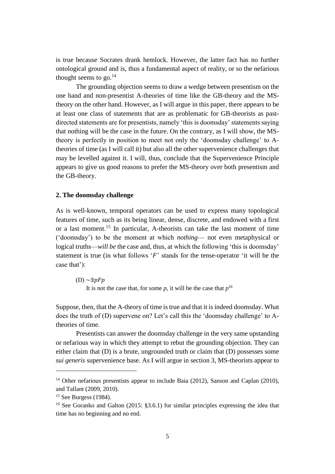is true because Socrates drank hemlock. However, the latter fact has no further ontological ground and is, thus a fundamental aspect of reality, or so the nefarious thought seems to go. $^{14}$ 

The grounding objection seems to draw a wedge between presentism on the one hand and non-presentist A-theories of time like the GB-theory and the MStheory on the other hand. However, as I will argue in this paper, there appears to be at least one class of statements that are as problematic for GB-theorists as pastdirected statements are for presentists, namely 'this is doomsday' statements saying that nothing will be the case in the future. On the contrary, as I will show, the MStheory is perfectly in position to meet not only the 'doomsday challenge' to Atheories of time (as I will call it) but also all the other supervenience challenges that may be levelled against it. I will, thus, conclude that the Supervenience Principle appears to give us good reasons to prefer the MS-theory over both presentism and the GB-theory.

### **2. The doomsday challenge**

As is well-known, temporal operators can be used to express many topological features of time, such as its being linear, dense, discrete, and endowed with a first or a last moment.<sup>15</sup> In particular, A-theorists can take the last moment of time ('doomsday') to be the moment at which *nothing*— not even metaphysical or logical truths—*will be* the case and, thus, at which the following 'this is doomsday' statement is true (in what follows  $F'$  stands for the tense-operator 'it will be the case that'):

(D)  $\sim$ ∃ $pFp$ It is not the case that, for some  $p$ , it will be the case that  $p^{16}$ 

Suppose, then, that the A-theory of time is true and that it is indeed doomsday. What does the truth of (D) supervene on? Let's call this the 'doomsday challenge' to Atheories of time.

Presentists can answer the doomsday challenge in the very same upstanding or nefarious way in which they attempt to rebut the grounding objection. They can either claim that (D) is a brute, ungrounded truth or claim that (D) possesses some *sui generis* supervenience base. As I will argue in section 3, MS-theorists appear to

<sup>&</sup>lt;sup>14</sup> Other nefarious presentists appear to include Baia (2012), Sanson and Caplan (2010), and Tallant (2009, 2010).

 $15$  See Burgess (1984).

<sup>&</sup>lt;sup>16</sup> See Goranko and Galton (2015: §3.6.1) for similar principles expressing the idea that time has no beginning and no end.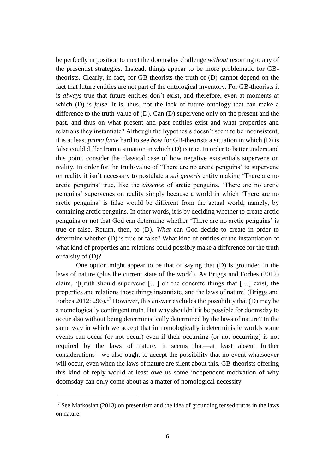be perfectly in position to meet the doomsday challenge *without* resorting to any of the presentist strategies. Instead, things appear to be more problematic for GBtheorists. Clearly, in fact, for GB-theorists the truth of (D) cannot depend on the fact that future entities are not part of the ontological inventory. For GB-theorists it is *always* true that future entities don't exist, and therefore, even at moments at which (D) is *false*. It is, thus, not the lack of future ontology that can make a difference to the truth-value of (D). Can (D) supervene only on the present and the past, and thus on what present and past entities exist and what properties and relations they instantiate? Although the hypothesis doesn't seem to be inconsistent, it is at least *prima facie* hard to see *how* for GB-theorists a situation in which (D) is false could differ from a situation in which (D) is true. In order to better understand this point, consider the classical case of how negative existentials supervene on reality. In order for the truth-value of 'There are no arctic penguins' to supervene on reality it isn't necessary to postulate a *sui generis* entity making 'There are no arctic penguins' true, like the *absence* of arctic penguins. 'There are no arctic penguins' supervenes on reality simply because a world in which 'There are no arctic penguins' is false would be different from the actual world, namely, by containing arctic penguins. In other words, it is by deciding whether to create arctic penguins or not that God can determine whether 'There are no arctic penguins' is true or false. Return, then, to (D). *What* can God decide to create in order to determine whether (D) is true or false? What kind of entities or the instantiation of what kind of properties and relations could possibly make a difference for the truth or falsity of (D)?

One option might appear to be that of saying that (D) is grounded in the laws of nature (plus the current state of the world). As Briggs and Forbes (2012) claim, '[t]ruth should supervene […] on the concrete things that […] exist, the properties and relations those things instantiate, and the laws of nature' (Briggs and Forbes 2012: 296).<sup>17</sup> However, this answer excludes the possibility that (D) may be a nomologically contingent truth. But why shouldn't it be possible for doomsday to occur also without being deterministically determined by the laws of nature? In the same way in which we accept that in nomologically indeterministic worlds some events can occur (or not occur) even if their occurring (or not occurring) is not required by the laws of nature, it seems that—at least absent further considerations—we also ought to accept the possibility that no event whatsoever will occur, even when the laws of nature are silent about this. GB-theorists offering this kind of reply would at least owe us some independent motivation of why doomsday can only come about as a matter of nomological necessity.

<sup>&</sup>lt;sup>17</sup> See Markosian (2013) on presentism and the idea of grounding tensed truths in the laws on nature.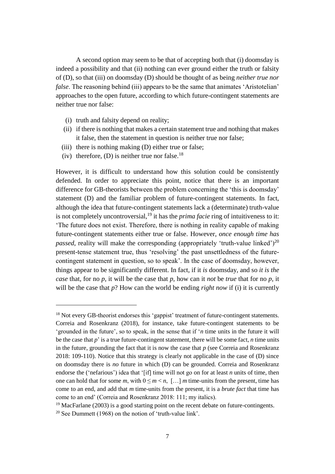A second option may seem to be that of accepting both that (i) doomsday is indeed a possibility and that (ii) nothing can ever ground either the truth or falsity of (D), so that (iii) on doomsday (D) should be thought of as being *neither true nor false*. The reasoning behind (iii) appears to be the same that animates 'Aristotelian' approaches to the open future, according to which future-contingent statements are neither true nor false:

- (i) truth and falsity depend on reality;
- (ii) if there is nothing that makes a certain statement true and nothing that makes it false, then the statement in question is neither true nor false;
- (iii) there is nothing making (D) either true or false;
- (iv) therefore,  $(D)$  is neither true nor false.<sup>18</sup>

However, it is difficult to understand how this solution could be consistently defended. In order to appreciate this point, notice that there is an important difference for GB-theorists between the problem concerning the 'this is doomsday' statement (D) and the familiar problem of future-contingent statements. In fact, although the idea that future-contingent statements lack a (determinate) truth-value is not completely uncontroversial,<sup>19</sup> it has the *prima facie* ring of intuitiveness to it: 'The future does not exist. Therefore, there is nothing in reality capable of making future-contingent statements either true or false. However, *once enough time has passed*, reality will make the corresponding (appropriately 'truth-value linked')<sup>20</sup> present-tense statement true, thus 'resolving' the past unsettledness of the futurecontingent statement in question, so to speak'. In the case of doomsday, however, things appear to be significantly different. In fact, if it *is* doomsday, and so *it is the case* that, for no *p*, it will be the case that *p*, how can it *not* be *true* that for no *p*, it will be the case that *p*? How can the world be ending *right now* if (i) it is currently

<sup>&</sup>lt;sup>18</sup> Not every GB-theorist endorses this 'gappist' treatment of future-contingent statements. Correia and Rosenkranz (2018), for instance, take future-contingent statements to be 'grounded in the future', so to speak, in the sense that if '*n* time units in the future it will be the case that *p*' is a true future-contingent statement, there will be some fact, *n* time units in the future, grounding the fact that it is now the case that *p* (see Correia and Rosenkranz 2018: 109-110). Notice that this strategy is clearly not applicable in the case of (D) since on doomsday there is *no* future in which (D) can be grounded. Correia and Rosenkranz endorse the ('nefarious') idea that '[if] time will not go on for at least *n* units of time, then one can hold that for some *m*, with  $0 \le m < n$ , [...] *m* time-units from the present, time has come to an end, and add that *m* time-units from the present, it is a *brute fact* that time has come to an end' (Correia and Rosenkranz 2018: 111; my italics).

<sup>&</sup>lt;sup>19</sup> MacFarlane (2003) is a good starting point on the recent debate on future-contingents.

<sup>&</sup>lt;sup>20</sup> See Dummett (1968) on the notion of 'truth-value link'.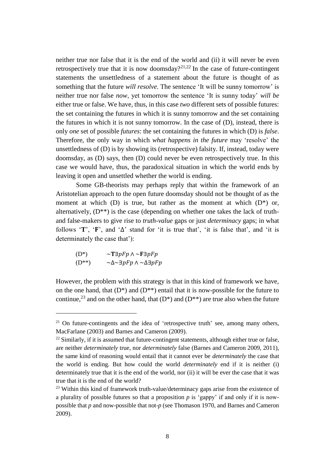neither true nor false that it is the end of the world and (ii) it will never be even retrospectively true that it is now doomsday?<sup>21,22</sup> In the case of future-contingent statements the unsettledness of a statement about the future is thought of as something that the future *will resolve*. The sentence 'It will be sunny tomorrow' is neither true nor false *now*, yet tomorrow the sentence 'It is sunny today' *will be* either true or false. We have, thus, in this case *two* different sets of possible futures: the set containing the futures in which it is sunny tomorrow and the set containing the futures in which it is not sunny tomorrow. In the case of (D), instead, there is only *one* set of possible *futures*: the set containing the futures in which (D) is *false*. Therefore, the only way in which *what happens in the future* may 'resolve' the unsettledness of (D) is by showing its (retrospective) falsity. If, instead, today were doomsday, as (D) says, then (D) could never be even retrospectively true. In this case we would have, thus, the paradoxical situation in which the world ends by leaving it open and unsettled whether the world is ending.

Some GB-theorists may perhaps reply that within the framework of an Aristotelian approach to the open future doomsday should not be thought of as the moment at which  $(D)$  is true, but rather as the moment at which  $(D^*)$  or, alternatively,  $(D^{**})$  is the case (depending on whether one takes the lack of truthand false-makers to give rise to *truth-value* gaps or just *determinacy* gaps; in what follows  $\mathbf{T}'$ ,  $\mathbf{F}'$ , and  $\mathbf{\Delta}'$  stand for 'it is true that', 'it is false that', and 'it is determinately the case that'):

$$
\begin{array}{ll}\n(D^*) & \sim \textbf{T} \exists p F p \land \sim \textbf{F} \exists p F p \\
(D^{**}) & \sim \Delta \sim \exists p F p \land \sim \Delta \exists p F p\n\end{array}
$$

l

However, the problem with this strategy is that in this kind of framework we have, on the one hand, that  $(D^*)$  and  $(D^{**})$  entail that it is now-possible for the future to continue,<sup>23</sup> and on the other hand, that  $(D^*)$  and  $(D^{**})$  are true also when the future

 $21$  On future-contingents and the idea of 'retrospective truth' see, among many others, MacFarlane (2003) and Barnes and Cameron (2009).

 $^{22}$  Similarly, if it is assumed that future-contingent statements, although either true or false, are neither *determinately* true, nor *determinately* false (Barnes and Cameron 2009, 2011), the same kind of reasoning would entail that it cannot ever be *determinately* the case that the world is ending. But how could the world *determinately* end if it is neither (i) determinately true that it is the end of the world, nor (ii) it will be ever the case that it was true that it is the end of the world?

<sup>&</sup>lt;sup>23</sup> Within this kind of framework truth-value/determinacy gaps arise from the existence of a plurality of possible futures so that a proposition *p* is 'gappy' if and only if it is nowpossible that *p* and now-possible that not-*p* (see Thomason 1970, and Barnes and Cameron 2009).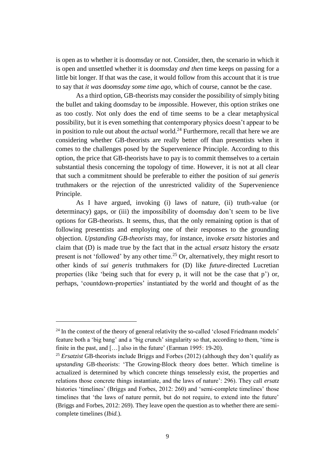is open as to whether it is doomsday or not. Consider, then, the scenario in which it is open and unsettled whether it is doomsday *and then* time keeps on passing for a little bit longer. If that was the case, it would follow from this account that it is true to say that *it was doomsday some time ago*, which of course, cannot be the case.

As a third option, GB-theorists may consider the possibility of simply biting the bullet and taking doomsday to be *im*possible. However, this option strikes one as too costly. Not only does the end of time seems to be a clear metaphysical possibility, but it is even something that contemporary physics doesn't appear to be in position to rule out about the *actual* world.<sup>24</sup> Furthermore, recall that here we are considering whether GB-theorists are really better off than presentists when it comes to the challenges posed by the Supervenience Principle. According to this option, the price that GB-theorists have to pay is to commit themselves to a certain substantial thesis concerning the topology of time. However, it is not at all clear that such a commitment should be preferable to either the position of *sui generis* truthmakers or the rejection of the unrestricted validity of the Supervenience Principle.

As I have argued, invoking (i) laws of nature, (ii) truth-value (or determinacy) gaps, or (iii) the impossibility of doomsday don't seem to be live options for GB-theorists. It seems, thus, that the only remaining option is that of following presentists and employing one of their responses to the grounding objection. *Upstanding GB-theorists* may, for instance, invoke *ersatz* histories and claim that (D) is made true by the fact that in the actual *ersatz* history the *ersatz* present is not 'followed' by any other time.<sup>25</sup> Or, alternatively, they might resort to other kinds of *sui generis* truthmakers for (D) like *future*-directed Lucretian properties (like 'being such that for every p, it will not be the case that p') or, perhaps, 'countdown-properties' instantiated by the world and thought of as the

 $24$  In the context of the theory of general relativity the so-called 'closed Friedmann models' feature both a 'big bang' and a 'big crunch' singularity so that, according to them, 'time is finite in the past, and […] also in the future' (Earman 1995: 19-20).

<sup>25</sup> *Ersatzist* GB-theorists include Briggs and Forbes (2012) (although they don't qualify as *upstanding* GB-theorists: 'The Growing-Block theory does better. Which timeline is actualized is determined by which concrete things tenselessly exist, the properties and relations those concrete things instantiate, and the laws of nature': 296). They call *ersatz* histories 'timelines' (Briggs and Forbes, 2012: 260) and 'semi-complete timelines' those timelines that 'the laws of nature permit, but do not require, to extend into the future' (Briggs and Forbes, 2012: 269). They leave open the question as to whether there are semicomplete timelines (*Ibid.*).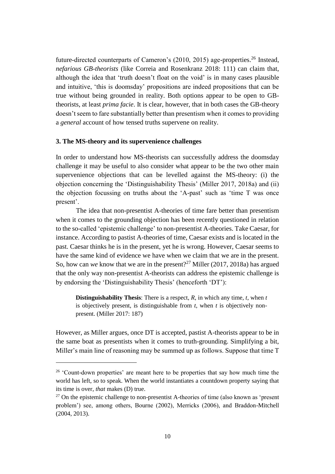future-directed counterparts of Cameron's  $(2010, 2015)$  age-properties.<sup>26</sup> Instead, *nefarious GB-theorists* (like Correia and Rosenkranz 2018: 111) can claim that, although the idea that 'truth doesn't float on the void' is in many cases plausible and intuitive, 'this is doomsday' propositions are indeed propositions that can be true without being grounded in reality. Both options appear to be open to GBtheorists, at least *prima facie*. It is clear, however, that in both cases the GB-theory doesn't seem to fare substantially better than presentism when it comes to providing a *general* account of how tensed truths supervene on reality.

### **3. The MS-theory and its supervenience challenges**

In order to understand how MS-theorists can successfully address the doomsday challenge it may be useful to also consider what appear to be the two other main supervenience objections that can be levelled against the MS-theory: (i) the objection concerning the 'Distinguishability Thesis' (Miller 2017, 2018a) and (ii) the objection focussing on truths about the 'A-past' such as 'time T was once present'.

The idea that non-presentist A-theories of time fare better than presentism when it comes to the grounding objection has been recently questioned in relation to the so-called 'epistemic challenge' to non-presentist A-theories. Take Caesar, for instance. According to pastist A-theories of time, Caesar exists and is located in the past. Caesar thinks he is in the present, yet he is wrong. However, Caesar seems to have the same kind of evidence we have when we claim that we are in the present. So, how can *we* know that we are in the present?<sup>27</sup> Miller (2017, 2018a) has argued that the only way non-presentist A-theorists can address the epistemic challenge is by endorsing the 'Distinguishability Thesis' (henceforth 'DT'):

**Distinguishability Thesis**: There is a respect, *R*, in which any time, *t*, when *t* is objectively present, is distinguishable from *t*, when *t* is objectively nonpresent. (Miller 2017: 187)

However, as Miller argues, once DT is accepted, pastist A-theorists appear to be in the same boat as presentists when it comes to truth-grounding. Simplifying a bit, Miller's main line of reasoning may be summed up as follows. Suppose that time T

<sup>&</sup>lt;sup>26</sup> 'Count-down properties' are meant here to be properties that say how much time the world has left, so to speak. When the world instantiates a countdown property saying that its time is over, *that* makes (D) true.

 $27$  On the epistemic challenge to non-presentist A-theories of time (also known as 'present problem') see, among others, Bourne (2002), Merricks (2006), and Braddon-Mitchell (2004, 2013).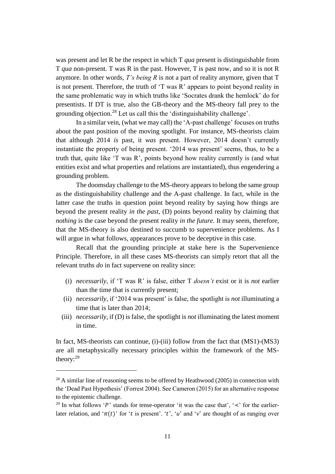was present and let R be the respect in which T *qua* present is distinguishable from T *qua* non-present. T was R in the past. However, T is past now, and so it is not R anymore. In other words, *T's being R* is not a part of reality anymore, given that T is not present. Therefore, the truth of 'T was R' appears to point beyond reality in the same problematic way in which truths like 'Socrates drank the hemlock' do for presentists. If DT is true, also the GB-theory and the MS-theory fall prey to the grounding objection.<sup>28</sup> Let us call this the 'distinguishability challenge'.

In a similar vein, (what we may call) the 'A-past challenge' focuses on truths about the past position of the moving spotlight. For instance, MS-theorists claim that although 2014 *is* past, it *was* present. However, 2014 doesn't currently instantiate the property of being present. '2014 was present' seems, thus, to be a truth that, quite like 'T was R', points beyond how reality currently is (and what entities exist and what properties and relations are instantiated), thus engendering a grounding problem.

The doomsday challenge to the MS-theory appears to belong the same group as the distinguishability challenge and the A-past challenge. In fact, while in the latter case the truths in question point beyond reality by saying how things are beyond the present reality *in the past*, (D) points beyond reality by claiming that *nothing* is the case beyond the present reality *in the future.* It may seem, therefore, that the MS-theory is also destined to succumb to supervenience problems. As I will argue in what follows, appearances prove to be deceptive in this case.

Recall that the grounding principle at stake here is the Supervenience Principle. Therefore, in all these cases MS-theorists can simply retort that all the relevant truths *do* in fact supervene on reality since:

- (i) *necessarily*, if 'T was R' is false, either T *doesn't* exist or it is *not* earlier than the time that is currently present;
- (ii) *necessarily*, if '2014 was present' is false, the spotlight is *not* illuminating a time that is later than 2014;
- (iii) *necessarily*, if (D) is false, the spotlight is *not* illuminating the latest moment in time.

In fact, MS-theorists can continue, (i)-(iii) follow from the fact that (MS1)-(MS3) are all metaphysically necessary principles within the framework of the MStheory:<sup>29</sup>

 $^{28}$  A similar line of reasoning seems to be offered by Heathwood (2005) in connection with the 'Dead Past Hypothesis' (Forrest 2004). See Cameron (2015) for an alternative response to the epistemic challenge.

<sup>&</sup>lt;sup>29</sup> In what follows 'P' stands for tense-operator 'it was the case that', ' $\prec$ ' for the earlierlater relation, and ' $\pi(t)$ ' for 't is present'. 't', '*u*' and '*v*' are thought of as ranging over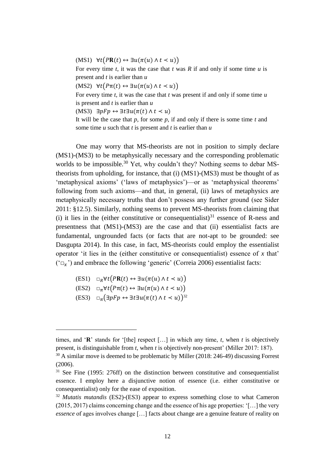(MS1)  $\forall t (PR(t) \leftrightarrow \exists u (\pi(u) \land t \leq u))$ 

For every time *t*, it was the case that *t* was *R* if and only if some time *u* is present and *t* is earlier than *u*

(MS2)  $\forall t (P\pi(t) \leftrightarrow \exists u (\pi(u) \land t \leq u))$ 

For every time *t*, it was the case that *t* was present if and only if some time *u* is present and *t* is earlier than *u*

 $(MS3) \exists p F p \leftrightarrow \exists t \exists u(\pi(t) \land t < u)$ 

It will be the case that *p*, for some *p*, if and only if there is some time *t* and some time *u* such that *t* is present and *t* is earlier than *u*

One may worry that MS-theorists are not in position to simply declare (MS1)-(MS3) to be metaphysically necessary and the corresponding problematic worlds to be impossible.<sup>30</sup> Yet, why couldn't they? Nothing seems to debar MStheorists from upholding, for instance, that (i) (MS1)-(MS3) must be thought of as 'metaphysical axioms' ('laws of metaphysics')—or as 'metaphysical theorems' following from such axioms—and that, in general, (ii) laws of metaphysics are metaphysically necessary truths that don't possess any further ground (see Sider 2011: §12.5). Similarly, nothing seems to prevent MS-theorists from claiming that (i) it lies in the (either constitutive or consequentialist) $31$  essence of R-ness and presentness that (MS1)-(MS3) are the case and that (ii) essentialist facts are fundamental, ungrounded facts (or facts that are not-apt to be grounded: see Dasgupta 2014). In this case, in fact, MS-theorists could employ the essentialist operator 'it lies in the (either constitutive or consequentialist) essence of *x* that'  $({^{\circ}\square_x})$  and embrace the following 'generic' (Correia 2006) essentialist facts:

$$
(ES1) \quad \Box_R \forall t \big( PR(t) \leftrightarrow \exists u (\pi(u) \land t < u) \big)
$$

$$
(ES2) \quad \Box_{\pi} \forall t \big( P \pi(t) \leftrightarrow \exists u (\pi(u) \land t < u) \big)
$$

(ES3) 
$$
\Box_{\pi}(\exists pFp \leftrightarrow \exists t \exists u (\pi(t) \land t < u))^{32}
$$

times, and '**R**' stands for '[the] respect […] in which any time, *t*, when *t* is objectively present, is distinguishable from *t*, when *t* is objectively non-present' (Miller 2017: 187).

<sup>&</sup>lt;sup>30</sup> A similar move is deemed to be problematic by Miller (2018: 246-49) discussing Forrest (2006).

<sup>&</sup>lt;sup>31</sup> See Fine (1995: 276ff) on the distinction between constitutive and consequentialist essence. I employ here a disjunctive notion of essence (i.e. either constitutive or consequentialist) only for the ease of exposition.

<sup>32</sup> *Mutatis mutandis* (ES2)-(ES3) appear to express something close to what Cameron (2015, 2017) claims concerning change and the essence of his age properties: '[…] the very *essence* of ages involves change […] facts about change are a genuine feature of reality on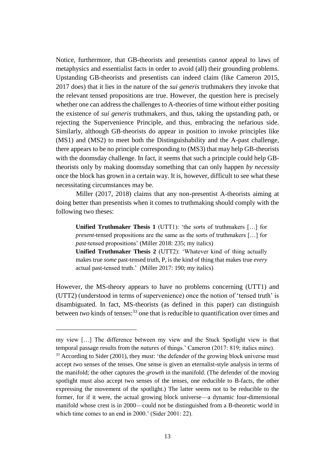Notice, furthermore, that GB-theorists and presentists can*not* appeal to laws of metaphysics and essentialist facts in order to avoid (all) their grounding problems. Upstanding GB-theorists and presentists can indeed claim (like Cameron 2015, 2017 does) that it lies in the nature of the *sui generis* truthmakers they invoke that the relevant tensed propositions are true. However, the question here is precisely whether one can address the challenges to A-theories of time without either positing the existence of *sui generis* truthmakers, and thus, taking the upstanding path, or rejecting the Supervenience Principle, and thus, embracing the nefarious side. Similarly, although GB-theorists do appear in position to invoke principles like (MS1) and (MS2) to meet both the Distinguishability and the A-past challenge, there appears to be no principle corresponding to (MS3) that may help GB-theorists with the doomsday challenge. In fact, it seems that such a principle could help GBtheorists only by making doomsday something that can only happen *by necessity* once the block has grown in a certain way. It is, however, difficult to see what these necessitating circumstances may be.

Miller (2017, 2018) claims that any non-presentist A-theorists aiming at doing better than presentists when it comes to truthmaking should comply with the following two theses:

**Unified Truthmaker Thesis 1** (UTT1): 'the sorts of truthmakers […] for *present*-tensed propositions are the same as the sorts of truthmakers […] for *past*-tensed propositions' (Miller 2018: 235; my italics) **Unified Truthmaker Thesis 2** (UTT2): 'Whatever kind of thing actually

makes true *some* past-tensed truth, P, is the kind of thing that makes true *every* actual past-tensed truth.' (Miller 2017: 190; my italics)

However, the MS-theory appears to have no problems concerning (UTT1) and (UTT2) (understood in terms of supervenience) once the notion of 'tensed truth' is disambiguated. In fact, MS-theorists (as defined in this paper) can distinguish between *two* kinds of tenses:<sup>33</sup> one that is reducible to quantification over times and

my view […] The difference between my view and the Stuck Spotlight view is that temporal passage results from the *natures* of things.' Cameron (2017: 819; italics mine).

<sup>33</sup> According to Sider (2001), they *must*: 'the defender of the growing block universe must accept *two* senses of the tenses. One sense is given an eternalist-style analysis in terms of the manifold; the other captures the *growth* in the manifold. (The defender of the moving spotlight must also accept two senses of the tenses, one reducible to B-facts, the other expressing the movement of the spotlight.) The latter seems not to be reducible to the former, for if it were, the actual growing block universe—a dynamic four-dimensional manifold whose crest is in 2000—could not be distinguished from a B-theoretic world in which time comes to an end in 2000.' (Sider 2001: 22).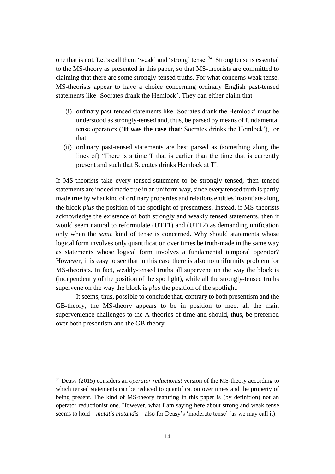one that is not. Let's call them 'weak' and 'strong' tense.<sup>34</sup> Strong tense is essential to the MS-theory as presented in this paper, so that MS-theorists are committed to claiming that there are some strongly-tensed truths. For what concerns weak tense, MS-theorists appear to have a choice concerning ordinary English past-tensed statements like 'Socrates drank the Hemlock'. They can either claim that

- (i) ordinary past-tensed statements like 'Socrates drank the Hemlock' must be understood as strongly-tensed and, thus, be parsed by means of fundamental tense operators ('**It was the case that**: Socrates drinks the Hemlock'), or that
- (ii) ordinary past-tensed statements are best parsed as (something along the lines of) 'There is a time T that is earlier than the time that is currently present and such that Socrates drinks Hemlock at T'.

If MS-theorists take every tensed-statement to be strongly tensed, then tensed statements are indeed made true in an uniform way, since every tensed truth is partly made true by what kind of ordinary properties and relations entities instantiate along the block *plus* the position of the spotlight of presentness. Instead, if MS-theorists acknowledge the existence of both strongly and weakly tensed statements, then it would seem natural to reformulate (UTT1) and (UTT2) as demanding unification only when the *same* kind of tense is concerned. Why should statements whose logical form involves only quantification over times be truth-made in the same way as statements whose logical form involves a fundamental temporal operator? However, it is easy to see that in this case there is also no uniformity problem for MS-theorists. In fact, weakly-tensed truths all supervene on the way the block is (independently of the position of the spotlight), while all the strongly-tensed truths supervene on the way the block is *plus* the position of the spotlight.

It seems, thus, possible to conclude that, contrary to both presentism and the GB-theory, the MS-theory appears to be in position to meet all the main supervenience challenges to the A-theories of time and should, thus, be preferred over both presentism and the GB-theory.

<sup>34</sup> Deasy (2015) considers an *operator reductionist* version of the MS-theory according to which tensed statements can be reduced to quantification over times and the property of being present. The kind of MS-theory featuring in this paper is (by definition) not an operator reductionist one. However, what I am saying here about strong and weak tense seems to hold—*mutatis mutandis*—also for Deasy's 'moderate tense' (as we may call it).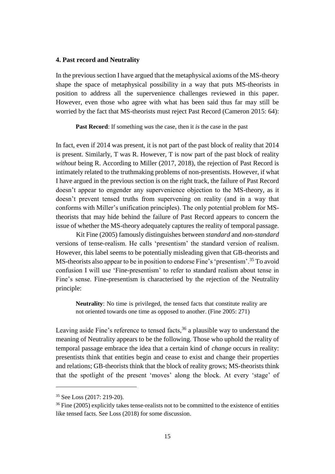#### **4. Past record and Neutrality**

In the previous section I have argued that the metaphysical axioms of the MS-theory shape the space of metaphysical possibility in a way that puts MS-theorists in position to address all the supervenience challenges reviewed in this paper. However, even those who agree with what has been said thus far may still be worried by the fact that MS-theorists must reject Past Record (Cameron 2015: 64):

**Past Record**: If something *was* the case, then it *is* the case in the past

In fact, even if 2014 was present, it is not part of the past block of reality that 2014 is present. Similarly, T was R. However, T is now part of the past block of reality *without* being R. According to Miller (2017, 2018), the rejection of Past Record is intimately related to the truthmaking problems of non-presentists. However, if what I have argued in the previous section is on the right track, the failure of Past Record doesn't appear to engender any supervenience objection to the MS-theory, as it doesn't prevent tensed truths from supervening on reality (and in a way that conforms with Miller's unification principles). The only potential problem for MStheorists that may hide behind the failure of Past Record appears to concern the issue of whether the MS-theory adequately captures the reality of temporal passage.

Kit Fine (2005) famously distinguishes between *standard* and *non-standard* versions of tense-realism. He calls 'presentism' the standard version of realism. However, this label seems to be potentially misleading given that GB-theorists and MS-theorists also appear to be in position to endorse Fine's 'presentism'.<sup>35</sup> To avoid confusion I will use 'Fine-presentism' to refer to standard realism about tense in Fine's sense. Fine-presentism is characterised by the rejection of the Neutrality principle:

**Neutrality**: No time is privileged, the tensed facts that constitute reality are not oriented towards one time as opposed to another. (Fine 2005: 271)

Leaving aside Fine's reference to tensed facts,  $36$  a plausible way to understand the meaning of Neutrality appears to be the following. Those who uphold the reality of temporal passage embrace the idea that a certain kind of *change* occurs in reality: presentists think that entities begin and cease to exist and change their properties and relations; GB-theorists think that the block of reality grows; MS-theorists think that the spotlight of the present 'moves' along the block. At every 'stage' of

<sup>35</sup> See Loss (2017: 219-20).

 $36$  Fine (2005) explicitly takes tense-realists not to be committed to the existence of entities like tensed facts. See Loss (2018) for some discussion.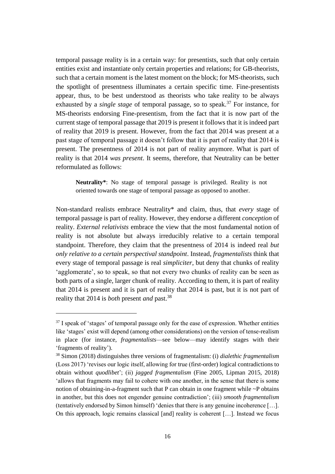temporal passage reality is in a certain way: for presentists, such that only certain entities exist and instantiate only certain properties and relations; for GB-theorists, such that a certain moment is the latest moment on the block; for MS-theorists, such the spotlight of presentness illuminates a certain specific time. Fine-presentists appear, thus, to be best understood as theorists who take reality to be always exhausted by a *single stage* of temporal passage, so to speak.<sup>37</sup> For instance, for MS-theorists endorsing Fine-presentism, from the fact that it is now part of the current stage of temporal passage that 2019 is present it follows that it is indeed part of reality that 2019 is present. However, from the fact that 2014 was present at a past stage of temporal passage it doesn't follow that it is part of reality that 2014 is present. The presentness of 2014 is not part of reality anymore. What is part of reality is that 2014 *was present*. It seems, therefore, that Neutrality can be better reformulated as follows:

**Neutrality\***: No stage of temporal passage is privileged. Reality is not oriented towards one stage of temporal passage as opposed to another.

Non-standard realists embrace Neutrality\* and claim, thus, that *every* stage of temporal passage is part of reality*.* However, they endorse a different *conception* of reality. *External relativists* embrace the view that the most fundamental notion of reality is not absolute but always irreducibly relative to a certain temporal standpoint. Therefore, they claim that the presentness of 2014 is indeed real *but only relative to a certain perspectival standpoint*. Instead, *fragmentalists* think that every stage of temporal passage is real *simpliciter*, but deny that chunks of reality 'agglomerate', so to speak, so that not every two chunks of reality can be seen as both parts of a single, larger chunk of reality. According to them, it is part of reality that 2014 is present and it is part of reality that 2014 is past, but it is not part of reality that 2014 is *both* present *and* past.<sup>38</sup>

 $37$  I speak of 'stages' of temporal passage only for the ease of expression. Whether entities like 'stages' exist will depend (among other considerations) on the version of tense-realism in place (for instance, *fragmentalists*—see below—may identify stages with their 'fragments of reality').

<sup>38</sup> Simon (2018) distinguishes three versions of fragmentalism: (i) *dialethic fragmentalism* (Loss 2017) 'revises our logic itself, allowing for true (first-order) logical contradictions to obtain without *quodlibet*'; (ii) *jagged fragmentalism* (Fine 2005, Lipman 2015, 2018) 'allows that fragments may fail to cohere with one another, in the sense that there is some notion of obtaining-in-a-fragment such that P can obtain in one fragment while  $\sim$ P obtains in another, but this does not engender genuine contradiction'; (iii) *smooth fragmentalism*  (tentatively endorsed by Simon himself) 'denies that there is any genuine incoherence […]. On this approach, logic remains classical [and] reality is coherent […]. Instead we focus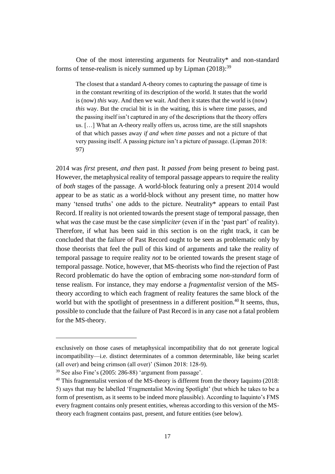One of the most interesting arguments for Neutrality\* and non-standard forms of tense-realism is nicely summed up by Lipman  $(2018)$ :<sup>39</sup>

The closest that a standard A-theory comes to capturing the passage of time is in the constant rewriting of its description of the world. It states that the world is (now) *this* way. And then we wait. And then it states that the world is (now) *this* way. But the crucial bit is in the waiting, this is where time passes, and the passing itself isn't captured in any of the descriptions that the theory offers us. […] What an A-theory really offers us, across time, are the still snapshots of that which passes away *if and when time passes* and not a picture of that very passing itself. A passing picture isn't a picture of passage. (Lipman 2018: 97)

2014 was *first* present, *and then* past. It *passed from* being present *to* being past. However, the metaphysical reality of temporal passage appears to require the reality of *both* stages of the passage. A world-block featuring only a present 2014 would appear to be as static as a world-block without any present time, no matter how many 'tensed truths' one adds to the picture. Neutrality\* appears to entail Past Record. If reality is not oriented towards the present stage of temporal passage, then what *was* the case must be the case *simpliciter* (even if in the 'past part' of reality). Therefore, if what has been said in this section is on the right track, it can be concluded that the failure of Past Record ought to be seen as problematic only by those theorists that feel the pull of this kind of arguments and take the reality of temporal passage to require reality *not* to be oriented towards the present stage of temporal passage. Notice, however, that MS-theorists who find the rejection of Past Record problematic do have the option of embracing some *non-standard* form of tense realism. For instance, they may endorse a *fragmentalist* version of the MStheory according to which each fragment of reality features the same block of the world but with the spotlight of presentness in a different position.<sup>40</sup> It seems, thus, possible to conclude that the failure of Past Record is in any case not a fatal problem for the MS-theory.

exclusively on those cases of metaphysical incompatibility that do not generate logical incompatibility—i.e. distinct determinates of a common determinable, like being scarlet (all over) and being crimson (all over)' (Simon 2018: 128-9).

<sup>39</sup> See also Fine's (2005: 286-88) 'argument from passage'.

 $40$  This fragmentalist version of the MS-theory is different from the theory Iaquinto (2018: 5) says that may be labelled 'Fragmentalist Moving Spotlight' (but which he takes to be a form of presentism, as it seems to be indeed more plausible). According to Iaquinto's FMS every fragment contains only present entities, whereas according to this version of the MStheory each fragment contains past, present, and future entities (see below).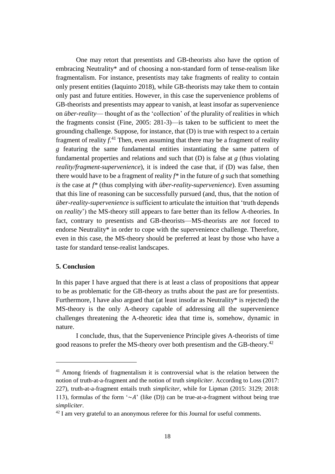One may retort that presentists and GB-theorists also have the option of embracing Neutrality\* and of choosing a non-standard form of tense-realism like fragmentalism. For instance, presentists may take fragments of reality to contain only present entities (Iaquinto 2018), while GB-theorists may take them to contain only past and future entities. However, in this case the supervenience problems of GB-theorists and presentists may appear to vanish, at least insofar as supervenience on *über-reality*— thought of as the 'collection' of the plurality of realities in which the fragments consist (Fine, 2005: 281-3)—is taken to be sufficient to meet the grounding challenge. Suppose, for instance, that (D) is true with respect to a certain fragment of reality  $f<sup>41</sup>$  Then, even assuming that there may be a fragment of reality *g* featuring the same fundamental entities instantiating the same pattern of fundamental properties and relations and such that (D) is false at *g* (thus violating *reality/fragment-supervenience*), it is indeed the case that, if (D) was false, then there would have to be a fragment of reality *f\** in the future of *g* such that something *is* the case at *f\** (thus complying with *über-reality-supervenience*). Even assuming that this line of reasoning can be successfully pursued (and, thus, that the notion of *über-reality-supervenience* is sufficient to articulate the intuition that 'truth depends on *reality*') the MS-theory still appears to fare better than its fellow A-theories. In fact, contrary to presentists and GB-theorists—MS-theorists are *not* forced to endorse Neutrality\* in order to cope with the supervenience challenge. Therefore, even in this case, the MS-theory should be preferred at least by those who have a taste for standard tense-realist landscapes.

# **5. Conclusion**

l

In this paper I have argued that there is at least a class of propositions that appear to be as problematic for the GB-theory as truths about the past are for presentists. Furthermore, I have also argued that (at least insofar as Neutrality\* is rejected) the MS-theory is the only A-theory capable of addressing all the supervenience challenges threatening the A-theoretic idea that time is, somehow, dynamic in nature.

I conclude, thus, that the Supervenience Principle gives A-theorists of time good reasons to prefer the MS-theory over both presentism and the GB-theory.<sup>42</sup>

<sup>&</sup>lt;sup>41</sup> Among friends of fragmentalism it is controversial what is the relation between the notion of truth-at-a-fragment and the notion of truth *simpliciter*. According to Loss (2017: 227), truth-at-a-fragment entails truth *simpliciter*, while for Lipman (2015: 3129; 2018: 113), formulas of the form ' $\neg A$ ' (like (D)) can be true-at-a-fragment without being true *simpliciter*.

 $42$  I am very grateful to an anonymous referee for this Journal for useful comments.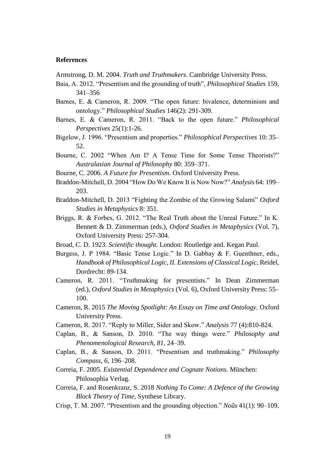#### **References**

Armstrong, D. M. 2004. *Truth and Truthmakers*. Cambridge University Press.

- Baia, A. 2012. "Presentism and the grounding of truth", *Philosophical Studies* 159, 341–356
- Barnes, E. & Cameron, R. 2009. "The open future: bivalence, determinism and ontology." *Philosophical Studies* 146(2): 291-309.
- Barnes, E. & Cameron, R. 2011. "Back to the open future." *Philosophical Perspectives* 25(1):1-26.
- Bigelow, J. 1996. "Presentism and properties." *Philosophical Perspectives* 10: 35– 52.
- Bourne, C. 2002 "When Am I? A Tense Time for Some Tense Theorists?" *Australasian Journal of Philosophy* 80: 359–371.
- Bourne, C. 2006. *A Future for Presentism*. Oxford University Press.
- Braddon-Mitchell, D. 2004 "How Do We Know It is Now Now?" *Analysis* 64: 199– 203.
- Braddon-Mitchell, D. 2013 "Fighting the Zombie of the Growing Salami" *Oxford Studies in Metaphysics* 8: 351.
- Briggs, R. & Forbes, G. 2012. "The Real Truth about the Unreal Future." In K. Bennett & D. Zimmerman (eds.), *Oxford Studies in Metaphysics* (Vol. 7), Oxford University Press: 257-304.
- Broad, C. D. 1923. *Scientific thought*. London: Routledge and. Kegan Paul.
- Burgess, J. P 1984. "Basic Tense Logic." In D. Gabbay & F. Guenthner, eds., *Handbook of Philosophical Logic, II. Extensions of Classical Logic*, Reidel, Dordrecht: 89-134.
- Cameron, R. 2011. "Truthmaking for presentists." In Dean Zimmerman (ed.), *Oxford Studies in Metaphysics* (Vol. 6), Oxford University Press: 55– 100.
- Cameron, R. 2015 *The Moving Spotlight: An Essay on Time and Ontology*. Oxford University Press.
- Cameron, R. 2017. "Reply to Miller, Sider and Skow." *Analysis* 77 (4):810-824.
- Caplan, B., & Sanson, D. 2010. "The way things were." *Philosophy and Phenomenological Research*, *81*, 24–39.
- Caplan, B., & Sanson, D. 2011. "Presentism and truthmaking." *Philosophy Compass*, *6*, 196–208.
- Correia, F. 2005. *Existential Dependence and Cognate Notions*. München: Philosophia Verlag.
- Correia, F. and Rosenkranz, S. 2018 *Nothing To Come: A Defence of the Growing Block Theory of Time*, Synthese Library.
- Crisp, T. M. 2007. "Presentism and the grounding objection." *Noûs* 41(1): 90–109.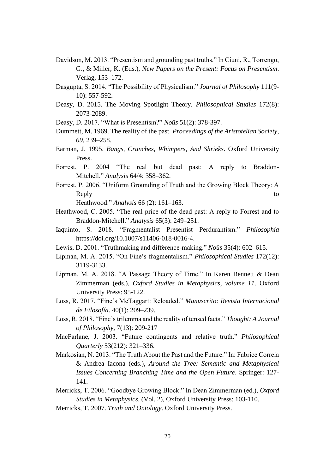- Davidson, M. 2013. "Presentism and grounding past truths." In Ciuni, R., Torrengo, G., & Miller, K. (Eds.), *New Papers on the Present: Focus on Presentism*. Verlag, 153–172.
- Dasgupta, S. 2014. "The Possibility of Physicalism." *Journal of Philosophy* 111(9- 10): 557-592.
- Deasy, D. 2015. The Moving Spotlight Theory. *Philosophical Studies* 172(8): 2073-2089.
- Deasy, D. 2017. "What is Presentism?" *Noûs* 51(2): 378-397.
- Dummett, M. 1969. The reality of the past. *Proceedings of the Aristotelian Society*, *69*, 239–258.
- Earman, J. 1995. *Bangs, Crunches, Whimpers, And Shrieks*. Oxford University Press.
- Forrest, P. 2004 "The real but dead past: A reply to Braddon-Mitchell." *Analysis* 64/4: 358–362.
- Forrest, P. 2006. "Uniform Grounding of Truth and the Growing Block Theory: A Reply to the contract of the contract of the contract of the contract of the contract of the contract of the contract of the contract of the contract of the contract of the contract of the contract of the contract of the c

Heathwood." *Analysis* 66 (2): 161–163.

- Heathwood, C. 2005. "The real price of the dead past: A reply to Forrest and to Braddon-Mitchell." *Analysis* 65(3): 249–251.
- Iaquinto, S. 2018. "Fragmentalist Presentist Perdurantism." *Philosophia* https://doi.org/10.1007/s11406-018-0016-4.
- Lewis, D. 2001. "Truthmaking and difference-making." *Noûs* 35(4): 602–615.
- Lipman, M. A. 2015. "On Fine's fragmentalism." *Philosophical Studies* 172(12): 3119-3133.
- Lipman, M. A. 2018. "A Passage Theory of Time." In Karen Bennett & Dean Zimmerman (eds.), *Oxford Studies in Metaphysics*, *volume 11*. Oxford University Press: 95-122.
- Loss, R. 2017. "Fine's McTaggart: Reloaded." *Manuscrito: Revista Internacional de Filosofía*. 40(1): 209–239.
- Loss, R. 2018. "Fine's trilemma and the reality of tensed facts." *Thought: A Journal of Philosophy,* 7(13): 209-217
- MacFarlane, J. 2003. "Future contingents and relative truth." *Philosophical Quarterly* 53(212): 321–336.
- Markosian, N. 2013. "The Truth About the Past and the Future." In: Fabrice Correia & Andrea Iacona (eds.), *Around the Tree: Semantic and Metaphysical Issues Concerning Branching Time and the Open Future*. Springer: 127- 141.
- Merricks, T. 2006. "Goodbye Growing Block." In Dean Zimmerman (ed.), *Oxford Studies in Metaphysics,* (Vol. 2), Oxford University Press: 103-110.
- Merricks, T. 2007. *Truth and Ontology*. Oxford University Press.